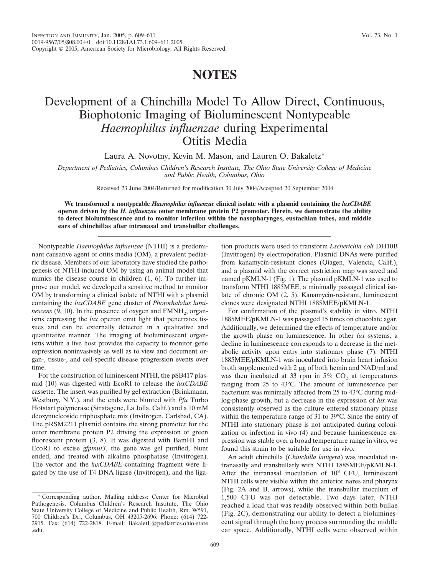## **NOTES**

## Development of a Chinchilla Model To Allow Direct, Continuous, Biophotonic Imaging of Bioluminescent Nontypeable *Haemophilus influenzae* during Experimental Otitis Media

Laura A. Novotny, Kevin M. Mason, and Lauren O. Bakaletz\*

*Department of Pediatrics, Columbus Children's Research Institute, The Ohio State University College of Medicine and Public Health, Columbus, Ohio*

Received 23 June 2004/Returned for modification 30 July 2004/Accepted 20 September 2004

**We transformed a nontypeable** *Haemophilus influenzae* **clinical isolate with a plasmid containing the** *luxCDABE* **operon driven by the** *H. influenzae* **outer membrane protein P2 promoter. Herein, we demonstrate the ability to detect bioluminescence and to monitor infection within the nasopharynges, eustachian tubes, and middle ears of chinchillas after intranasal and transbullar challenges.**

Nontypeable *Haemophilus influenzae* (NTHI) is a predominant causative agent of otitis media (OM), a prevalent pediatric disease. Members of our laboratory have studied the pathogenesis of NTHI-induced OM by using an animal model that mimics the disease course in children (1, 6). To further improve our model, we developed a sensitive method to monitor OM by transforming a clinical isolate of NTHI with a plasmid containing the *luxCDABE* gene cluster of *Photorhabdus luminescens*  $(9, 10)$ . In the presence of oxygen and  $FMMH<sub>2</sub>$ , organisms expressing the *lux* operon emit light that penetrates tissues and can be externally detected in a qualitative and quantitative manner. The imaging of bioluminescent organisms within a live host provides the capacity to monitor gene expression noninvasively as well as to view and document organ-, tissue-, and cell-specific disease progression events over time.

For the construction of luminescent NTHI, the pSB417 plasmid (10) was digested with EcoRI to release the *luxCDABE* cassette. The insert was purified by gel extraction (Brinkmann, Westbury, N.Y.), and the ends were blunted with *Pfu* Turbo Hotstart polymerase (Stratagene, La Jolla, Calif.) and a 10 mM deoxynucleoside triphosphate mix (Invitrogen, Carlsbad, CA). The pRSM2211 plasmid contains the strong promoter for the outer membrane protein P2 driving the expression of green fluorescent protein (3, 8). It was digested with BamHI and EcoRI to excise *gfpmut3*, the gene was gel purified, blunt ended, and treated with alkaline phosphatase (Invitrogen). The vector and the *luxCDABE*-containing fragment were ligated by the use of T4 DNA ligase (Invitrogen), and the ligation products were used to transform *Escherichia coli* DH10B (Invitrogen) by electroporation. Plasmid DNAs were purified from kanamycin-resistant clones (Qiagen, Valencia, Calif.), and a plasmid with the correct restriction map was saved and named pKMLN-1 (Fig. 1). The plasmid pKMLN-1 was used to transform NTHI 1885MEE, a minimally passaged clinical isolate of chronic OM (2, 5). Kanamycin-resistant, luminescent clones were designated NTHI 1885MEE/pKMLN-1.

For confirmation of the plasmid's stability in vitro, NTHI 1885MEE/pKMLN-1 was passaged 15 times on chocolate agar. Additionally, we determined the effects of temperature and/or the growth phase on luminescence. In other *lux* systems, a decline in luminescence corresponds to a decrease in the metabolic activity upon entry into stationary phase (7). NTHI 1885MEE/pKMLN-1 was inoculated into brain heart infusion broth supplemented with 2  $\mu$ g of both hemin and NAD/ml and was then incubated at 33 rpm in  $5\%$  CO<sub>2</sub> at temperatures ranging from 25 to 43°C. The amount of luminescence per bacterium was minimally affected from 25 to 43°C during midlog-phase growth, but a decrease in the expression of *lux* was consistently observed as the culture entered stationary phase within the temperature range of 31 to 39°C. Since the entry of NTHI into stationary phase is not anticipated during colonization or infection in vivo (4) and because luminescence expression was stable over a broad temperature range in vitro, we found this strain to be suitable for use in vivo.

An adult chinchilla (*Chinchilla lanigera*) was inoculated intranasally and transbullarly with NTHI 1885MEE/pKMLN-1. After the intranasal inoculation of  $10^8$  CFU, luminescent NTHI cells were visible within the anterior nares and pharynx (Fig. 2A and B, arrows), while the transbullar inoculum of 1,500 CFU was not detectable. Two days later, NTHI reached a load that was readily observed within both bullae (Fig. 2C), demonstrating our ability to detect a bioluminescent signal through the bony process surrounding the middle ear space. Additionally, NTHI cells were observed within

<sup>\*</sup> Corresponding author. Mailing address: Center for Microbial Pathogenesis, Columbus Children's Research Institute, The Ohio State University College of Medicine and Public Health, Rm. W591, 700 Children's Dr., Columbus, OH 43205-2696. Phone: (614) 722- 2915. Fax: (614) 722-2818. E-mail: BakaletL@pediatrics.ohio-state .edu.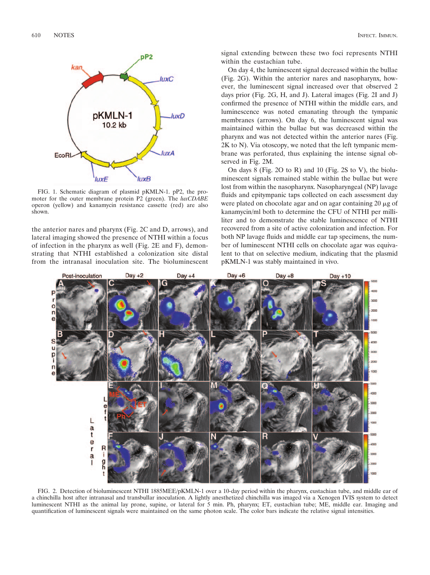

FIG. 1. Schematic diagram of plasmid pKMLN-1. pP2, the promoter for the outer membrane protein P2 (green). The *luxCDABE* operon (yellow) and kanamycin resistance cassette (red) are also shown.

the anterior nares and pharynx (Fig. 2C and D, arrows), and lateral imaging showed the presence of NTHI within a focus of infection in the pharynx as well (Fig. 2E and F), demonstrating that NTHI established a colonization site distal from the intranasal inoculation site. The bioluminescent

signal extending between these two foci represents NTHI within the eustachian tube.

On day 4, the luminescent signal decreased within the bullae (Fig. 2G). Within the anterior nares and nasopharynx, however, the luminescent signal increased over that observed 2 days prior (Fig. 2G, H, and J). Lateral images (Fig. 2I and J) confirmed the presence of NTHI within the middle ears, and luminescence was noted emanating through the tympanic membranes (arrows). On day 6, the luminescent signal was maintained within the bullae but was decreased within the pharynx and was not detected within the anterior nares (Fig. 2K to N). Via otoscopy, we noted that the left tympanic membrane was perforated, thus explaining the intense signal observed in Fig. 2M.

On days 8 (Fig. 2O to R) and 10 (Fig. 2S to V), the bioluminescent signals remained stable within the bullae but were lost from within the nasopharynx. Nasopharyngeal (NP) lavage fluids and epitympanic taps collected on each assessment day were plated on chocolate agar and on agar containing  $20 \mu$ g of kanamycin/ml both to determine the CFU of NTHI per milliliter and to demonstrate the stable luminescence of NTHI recovered from a site of active colonization and infection. For both NP lavage fluids and middle ear tap specimens, the number of luminescent NTHI cells on chocolate agar was equivalent to that on selective medium, indicating that the plasmid pKMLN-1 was stably maintained in vivo.



FIG. 2. Detection of bioluminescent NTHI 1885MEE/pKMLN-1 over a 10-day period within the pharynx, eustachian tube, and middle ear of a chinchilla host after intranasal and transbullar inoculation. A lightly anesthetized chinchilla was imaged via a Xenogen IVIS system to detect luminescent NTHI as the animal lay prone, supine, or lateral for 5 min. Ph, pharynx; ET, eustachian tube; ME, middle ear. Imaging and quantification of luminescent signals were maintained on the same photon scale. The color bars indicate the relative signal intensities.